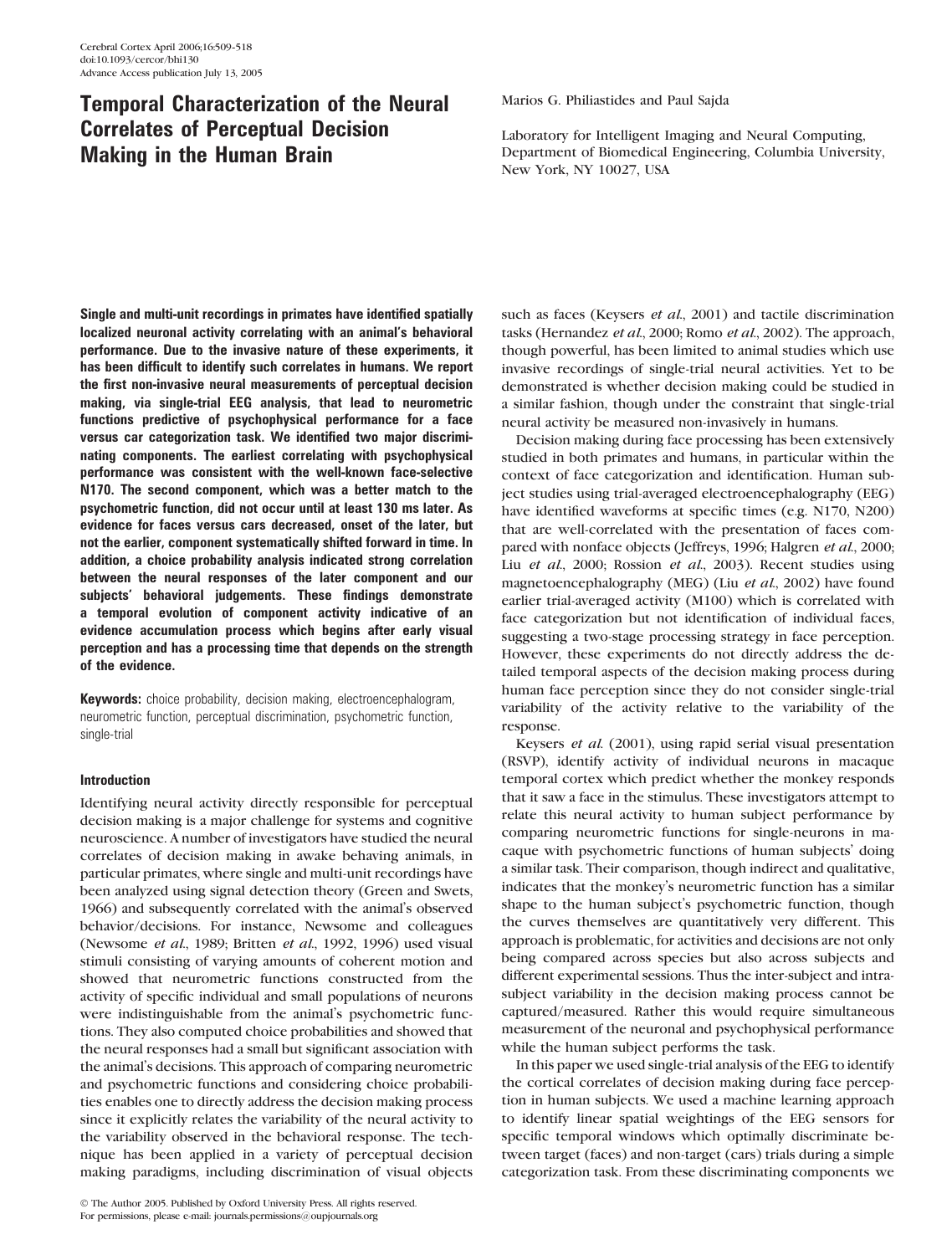# Temporal Characterization of the Neural Correlates of Perceptual Decision Making in the Human Brain

Single and multi-unit recordings in primates have identified spatially localized neuronal activity correlating with an animal's behavioral performance. Due to the invasive nature of these experiments, it has been difficult to identify such correlates in humans. We report the first non-invasive neural measurements of perceptual decision making, via single-trial EEG analysis, that lead to neurometric functions predictive of psychophysical performance for a face versus car categorization task. We identified two major discriminating components. The earliest correlating with psychophysical performance was consistent with the well-known face-selective N170. The second component, which was a better match to the psychometric function, did not occur until at least 130 ms later. As evidence for faces versus cars decreased, onset of the later, but not the earlier, component systematically shifted forward in time. In addition, a choice probability analysis indicated strong correlation between the neural responses of the later component and our subjects' behavioral judgements. These findings demonstrate a temporal evolution of component activity indicative of an evidence accumulation process which begins after early visual perception and has a processing time that depends on the strength of the evidence.

Keywords: choice probability, decision making, electroencephalogram, neurometric function, perceptual discrimination, psychometric function, single-trial

# Introduction

Identifying neural activity directly responsible for perceptual decision making is a major challenge for systems and cognitive neuroscience. A number of investigators have studied the neural correlates of decision making in awake behaving animals, in particular primates, where single and multi-unit recordings have been analyzed using signal detection theory (Green and Swets, 1966) and subsequently correlated with the animal's observed behavior/decisions. For instance, Newsome and colleagues (Newsome et al., 1989; Britten et al., 1992, 1996) used visual stimuli consisting of varying amounts of coherent motion and showed that neurometric functions constructed from the activity of specific individual and small populations of neurons were indistinguishable from the animal's psychometric functions. They also computed choice probabilities and showed that the neural responses had a small but significant association with the animal's decisions. This approach of comparing neurometric and psychometric functions and considering choice probabilities enables one to directly address the decision making process since it explicitly relates the variability of the neural activity to the variability observed in the behavioral response. The technique has been applied in a variety of perceptual decision making paradigms, including discrimination of visual objects Marios G. Philiastides and Paul Sajda

Laboratory for Intelligent Imaging and Neural Computing, Department of Biomedical Engineering, Columbia University, New York, NY 10027, USA

such as faces (Keysers et al., 2001) and tactile discrimination tasks (Hernandez et al., 2000; Romo et al., 2002). The approach, though powerful, has been limited to animal studies which use invasive recordings of single-trial neural activities. Yet to be demonstrated is whether decision making could be studied in a similar fashion, though under the constraint that single-trial neural activity be measured non-invasively in humans.

Decision making during face processing has been extensively studied in both primates and humans, in particular within the context of face categorization and identification. Human subject studies using trial-averaged electroencephalography (EEG) have identified waveforms at specific times (e.g. N170, N200) that are well-correlated with the presentation of faces compared with nonface objects (Jeffreys, 1996; Halgren et al., 2000; Liu et al., 2000; Rossion et al., 2003). Recent studies using magnetoencephalography (MEG) (Liu et al., 2002) have found earlier trial-averaged activity (M100) which is correlated with face categorization but not identification of individual faces, suggesting a two-stage processing strategy in face perception. However, these experiments do not directly address the detailed temporal aspects of the decision making process during human face perception since they do not consider single-trial variability of the activity relative to the variability of the response.

Keysers et al. (2001), using rapid serial visual presentation (RSVP), identify activity of individual neurons in macaque temporal cortex which predict whether the monkey responds that it saw a face in the stimulus. These investigators attempt to relate this neural activity to human subject performance by comparing neurometric functions for single-neurons in macaque with psychometric functions of human subjects' doing a similar task. Their comparison, though indirect and qualitative, indicates that the monkey's neurometric function has a similar shape to the human subject's psychometric function, though the curves themselves are quantitatively very different. This approach is problematic, for activities and decisions are not only being compared across species but also across subjects and different experimental sessions. Thus the inter-subject and intrasubject variability in the decision making process cannot be captured/measured. Rather this would require simultaneous measurement of the neuronal and psychophysical performance while the human subject performs the task.

In this paper we used single-trial analysis of the EEG to identify the cortical correlates of decision making during face perception in human subjects. We used a machine learning approach to identify linear spatial weightings of the EEG sensors for specific temporal windows which optimally discriminate between target (faces) and non-target (cars) trials during a simple categorization task. From these discriminating components we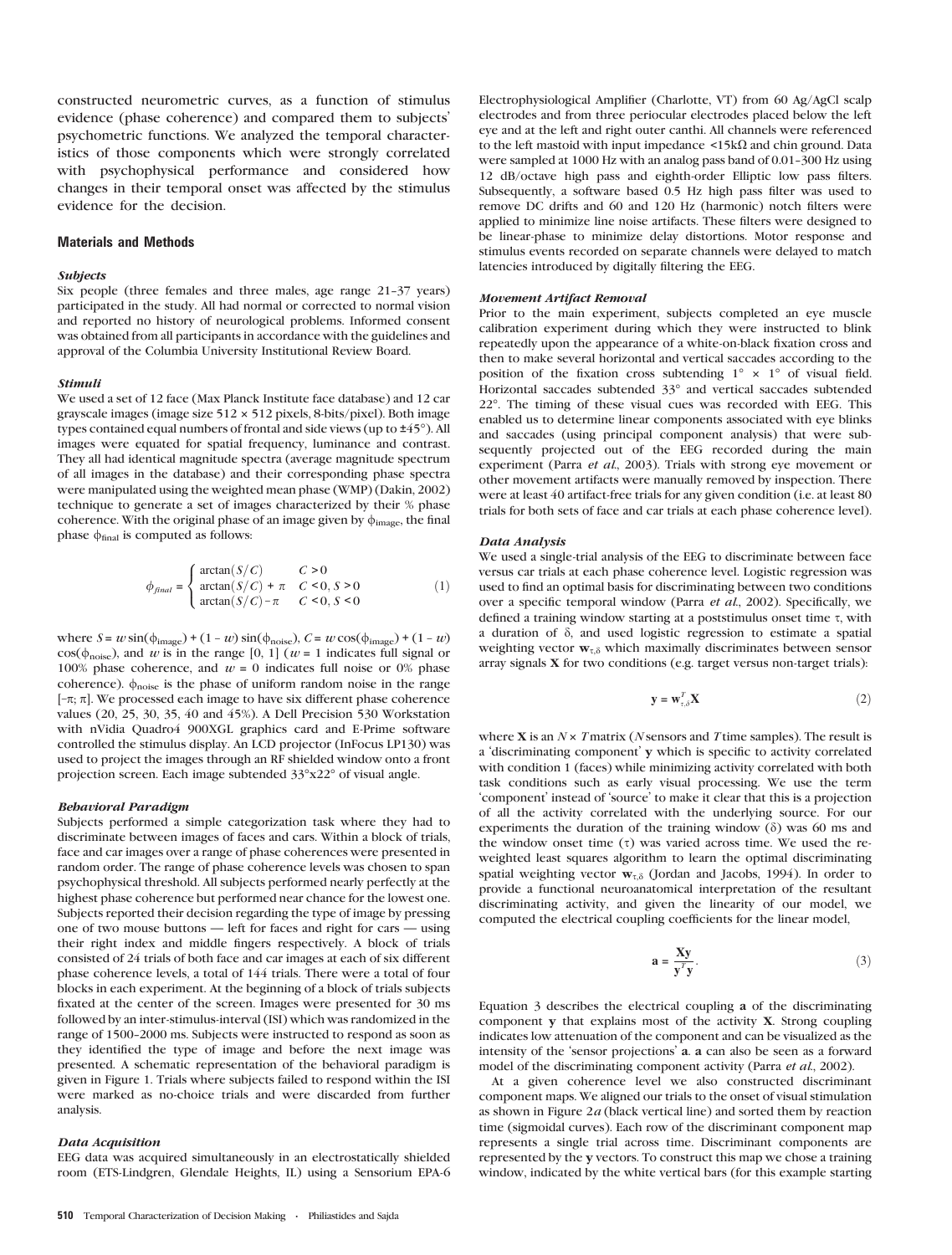constructed neurometric curves, as a function of stimulus evidence (phase coherence) and compared them to subjects' psychometric functions. We analyzed the temporal characteristics of those components which were strongly correlated with psychophysical performance and considered how changes in their temporal onset was affected by the stimulus evidence for the decision.

# Materials and Methods

## Subjects

Six people (three females and three males, age range 21-37 years) participated in the study. All had normal or corrected to normal vision and reported no history of neurological problems. Informed consent was obtained from all participants in accordance with the guidelines and approval of the Columbia University Institutional Review Board.

#### Stimuli

We used a set of 12 face (Max Planck Institute face database) and 12 car grayscale images (image size  $512 \times 512$  pixels, 8-bits/pixel). Both image types contained equal numbers of frontal and side views (up to  $\pm 45^{\circ}$ ). All images were equated for spatial frequency, luminance and contrast. They all had identical magnitude spectra (average magnitude spectrum of all images in the database) and their corresponding phase spectra were manipulated using the weighted mean phase (WMP) (Dakin, 2002) technique to generate a set of images characterized by their % phase coherence. With the original phase of an image given by  $\upphi_{\rm image}$  the final phase  $\phi_{\text{final}}$  is computed as follows:

$$
\phi_{final} = \begin{cases}\n\arctan(S/C) & C > 0 \\
\arctan(S/C) + \pi & C < 0, S > 0 \\
\arctan(S/C) - \pi & C < 0, S < 0\n\end{cases} \tag{1}
$$

where  $S = w \sin(\phi_{\text{image}}) + (1 - w) \sin(\phi_{\text{noise}}), C = w \cos(\phi_{\text{image}}) + (1 - w)$  $cos(\phi_{noise})$ , and w is in the range [0, 1] (w = 1 indicates full signal or 100% phase coherence, and  $w = 0$  indicates full noise or 0% phase coherence).  $\phi_{noise}$  is the phase of uniform random noise in the range  $[-\pi; \pi]$ . We processed each image to have six different phase coherence values (20, 25, 30, 35, 40 and 45%). A Dell Precision 530 Workstation with nVidia Quadro4 900XGL graphics card and E-Prime software controlled the stimulus display. An LCD projector (InFocus LP130) was used to project the images through an RF shielded window onto a front projection screen. Each image subtended 33°x22° of visual angle.

#### Behavioral Paradigm

Subjects performed a simple categorization task where they had to discriminate between images of faces and cars. Within a block of trials, face and car images over a range of phase coherences were presented in random order. The range of phase coherence levels was chosen to span psychophysical threshold. All subjects performed nearly perfectly at the highest phase coherence but performed near chance for the lowest one. Subjects reported their decision regarding the type of image by pressing one of two mouse buttons — left for faces and right for cars — using their right index and middle fingers respectively. A block of trials consisted of 24 trials of both face and car images at each of six different phase coherence levels, a total of 144 trials. There were a total of four blocks in each experiment. At the beginning of a block of trials subjects fixated at the center of the screen. Images were presented for 30 ms followed by an inter-stimulus-interval (ISI) which was randomized in the range of 1500-2000 ms. Subjects were instructed to respond as soon as they identified the type of image and before the next image was presented. A schematic representation of the behavioral paradigm is given in Figure 1. Trials where subjects failed to respond within the ISI were marked as no-choice trials and were discarded from further analysis.

#### Data Acquisition

EEG data was acquired simultaneously in an electrostatically shielded room (ETS-Lindgren, Glendale Heights, IL) using a Sensorium EPA-6 Electrophysiological Amplifier (Charlotte, VT) from 60 Ag/AgCl scalp electrodes and from three periocular electrodes placed below the left eye and at the left and right outer canthi. All channels were referenced to the left mastoid with input impedance  $\langle 15k\Omega \rangle$  and chin ground. Data were sampled at 1000 Hz with an analog pass band of 0.01-300 Hz using 12 dB/octave high pass and eighth-order Elliptic low pass filters. Subsequently, a software based 0.5 Hz high pass filter was used to remove DC drifts and 60 and 120 Hz (harmonic) notch filters were applied to minimize line noise artifacts. These filters were designed to be linear-phase to minimize delay distortions. Motor response and stimulus events recorded on separate channels were delayed to match latencies introduced by digitally filtering the EEG.

## Movement Artifact Removal

Prior to the main experiment, subjects completed an eye muscle calibration experiment during which they were instructed to blink repeatedly upon the appearance of a white-on-black fixation cross and then to make several horizontal and vertical saccades according to the position of the fixation cross subtending  $1^\circ \times 1^\circ$  of visual field. Horizontal saccades subtended 33° and vertical saccades subtended 22°. The timing of these visual cues was recorded with EEG. This enabled us to determine linear components associated with eye blinks and saccades (using principal component analysis) that were subsequently projected out of the EEG recorded during the main experiment (Parra et al., 2003). Trials with strong eye movement or other movement artifacts were manually removed by inspection. There were at least 40 artifact-free trials for any given condition (i.e. at least 80 trials for both sets of face and car trials at each phase coherence level).

#### Data Analysis

We used a single-trial analysis of the EEG to discriminate between face versus car trials at each phase coherence level. Logistic regression was used to find an optimal basis for discriminating between two conditions over a specific temporal window (Parra et al., 2002). Specifically, we defined a training window starting at a poststimulus onset time  $\tau$ , with a duration of  $\delta$ , and used logistic regression to estimate a spatial weighting vector  $\mathbf{w}_{\tau,\delta}$  which maximally discriminates between sensor array signals X for two conditions (e.g. target versus non-target trials):

$$
\mathbf{y} = \mathbf{w}_{\tau,\delta}^T \mathbf{X} \tag{2}
$$

where **X** is an  $N \times T$  matrix (*N* sensors and *T* time samples). The result is a 'discriminating component' y which is specific to activity correlated with condition 1 (faces) while minimizing activity correlated with both task conditions such as early visual processing. We use the term 'component' instead of 'source' to make it clear that this is a projection of all the activity correlated with the underlying source. For our experiments the duration of the training window  $(\delta)$  was 60 ms and the window onset time  $(τ)$  was varied across time. We used the reweighted least squares algorithm to learn the optimal discriminating spatial weighting vector  $w_{\tau,\delta}$  (Jordan and Jacobs, 1994). In order to provide a functional neuroanatomical interpretation of the resultant discriminating activity, and given the linearity of our model, we computed the electrical coupling coefficients for the linear model,

$$
\mathbf{a} = \frac{\mathbf{X}\mathbf{y}}{\mathbf{y}^T \mathbf{y}}.\tag{3}
$$

Equation 3 describes the electrical coupling a of the discriminating component y that explains most of the activity X. Strong coupling indicates low attenuation of the component and can be visualized as the intensity of the 'sensor projections' a. a can also be seen as a forward model of the discriminating component activity (Parra et al., 2002).

At a given coherence level we also constructed discriminant component maps. We aligned our trials to the onset of visual stimulation as shown in Figure  $2a$  (black vertical line) and sorted them by reaction time (sigmoidal curves). Each row of the discriminant component map represents a single trial across time. Discriminant components are represented by the y vectors. To construct this map we chose a training window, indicated by the white vertical bars (for this example starting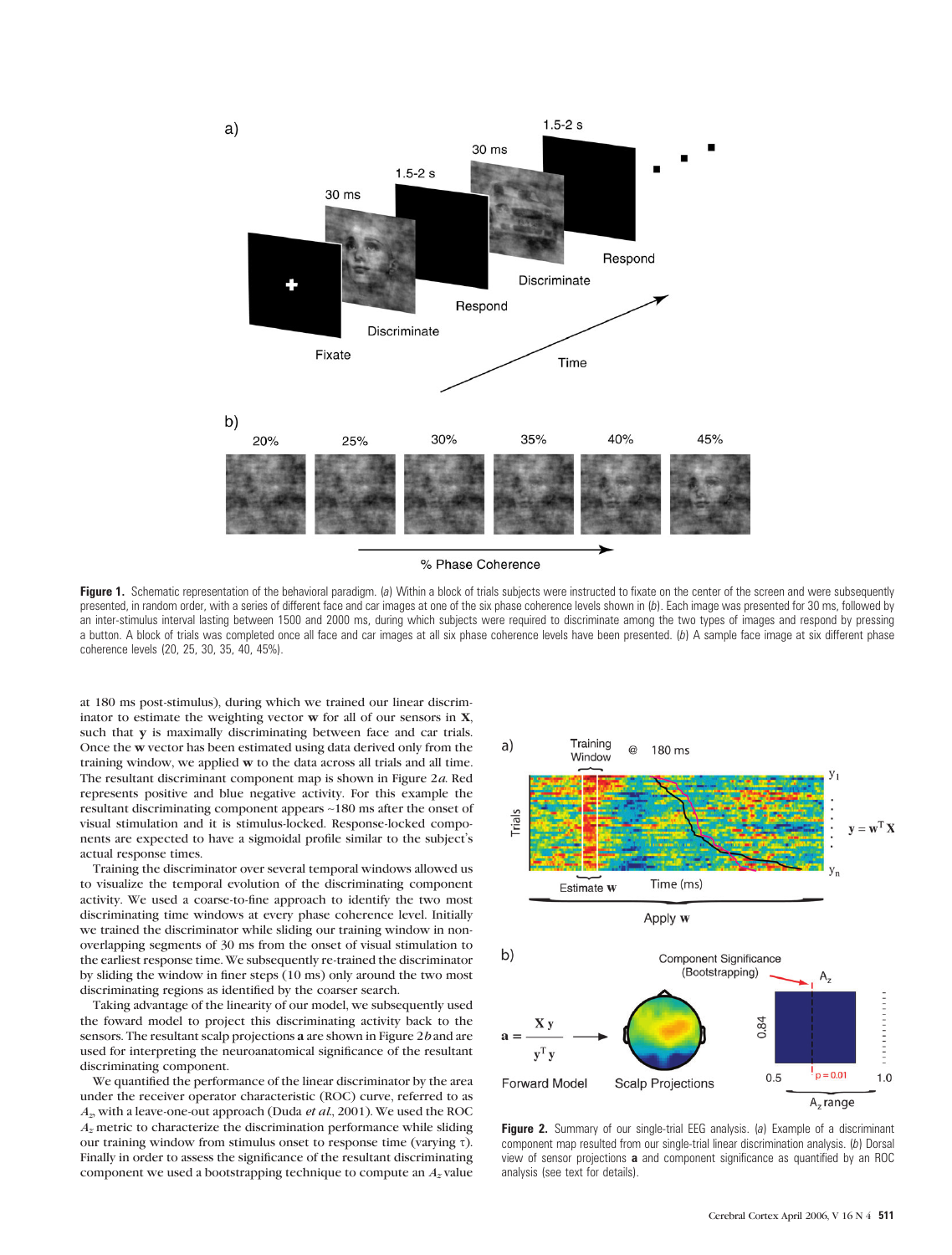

% Phase Coherence

Figure 1. Schematic representation of the behavioral paradigm. (a) Within a block of trials subjects were instructed to fixate on the center of the screen and were subsequently presented, in random order, with a series of different face and car images at one of the six phase coherence levels shown in (b). Each image was presented for 30 ms, followed by an inter-stimulus interval lasting between 1500 and 2000 ms, during which subjects were required to discriminate among the two types of images and respond by pressing a button. A block of trials was completed once all face and car images at all six phase coherence levels have been presented. (b) A sample face image at six different phase coherence levels (20, 25, 30, 35, 40, 45%).

at 180 ms post-stimulus), during which we trained our linear discriminator to estimate the weighting vector  $w$  for all of our sensors in  $X$ , such that y is maximally discriminating between face and car trials. Once the w vector has been estimated using data derived only from the training window, we applied w to the data across all trials and all time. The resultant discriminant component map is shown in Figure 2a. Red represents positive and blue negative activity. For this example the resultant discriminating component appears ~180 ms after the onset of visual stimulation and it is stimulus-locked. Response-locked components are expected to have a sigmoidal profile similar to the subject's actual response times.

Training the discriminator over several temporal windows allowed us to visualize the temporal evolution of the discriminating component activity. We used a coarse-to-fine approach to identify the two most discriminating time windows at every phase coherence level. Initially we trained the discriminator while sliding our training window in nonoverlapping segments of 30 ms from the onset of visual stimulation to the earliest response time. We subsequently re-trained the discriminator by sliding the window in finer steps (10 ms) only around the two most discriminating regions as identified by the coarser search.

Taking advantage of the linearity of our model, we subsequently used the foward model to project this discriminating activity back to the sensors. The resultant scalp projections **a** are shown in Figure 2b and are used for interpreting the neuroanatomical significance of the resultant discriminating component.

We quantified the performance of the linear discriminator by the area under the receiver operator characteristic (ROC) curve, referred to as  $A<sub>z</sub>$  with a leave-one-out approach (Duda et al., 2001). We used the ROC  $A<sub>z</sub>$  metric to characterize the discrimination performance while sliding our training window from stimulus onset to response time (varying  $\tau$ ). Finally in order to assess the significance of the resultant discriminating component we used a bootstrapping technique to compute an  $A_z$  value

![](_page_2_Figure_7.jpeg)

Figure 2. Summary of our single-trial EEG analysis. (a) Example of a discriminant component map resulted from our single-trial linear discrimination analysis. (b) Dorsal view of sensor projections a and component significance as quantified by an ROC analysis (see text for details).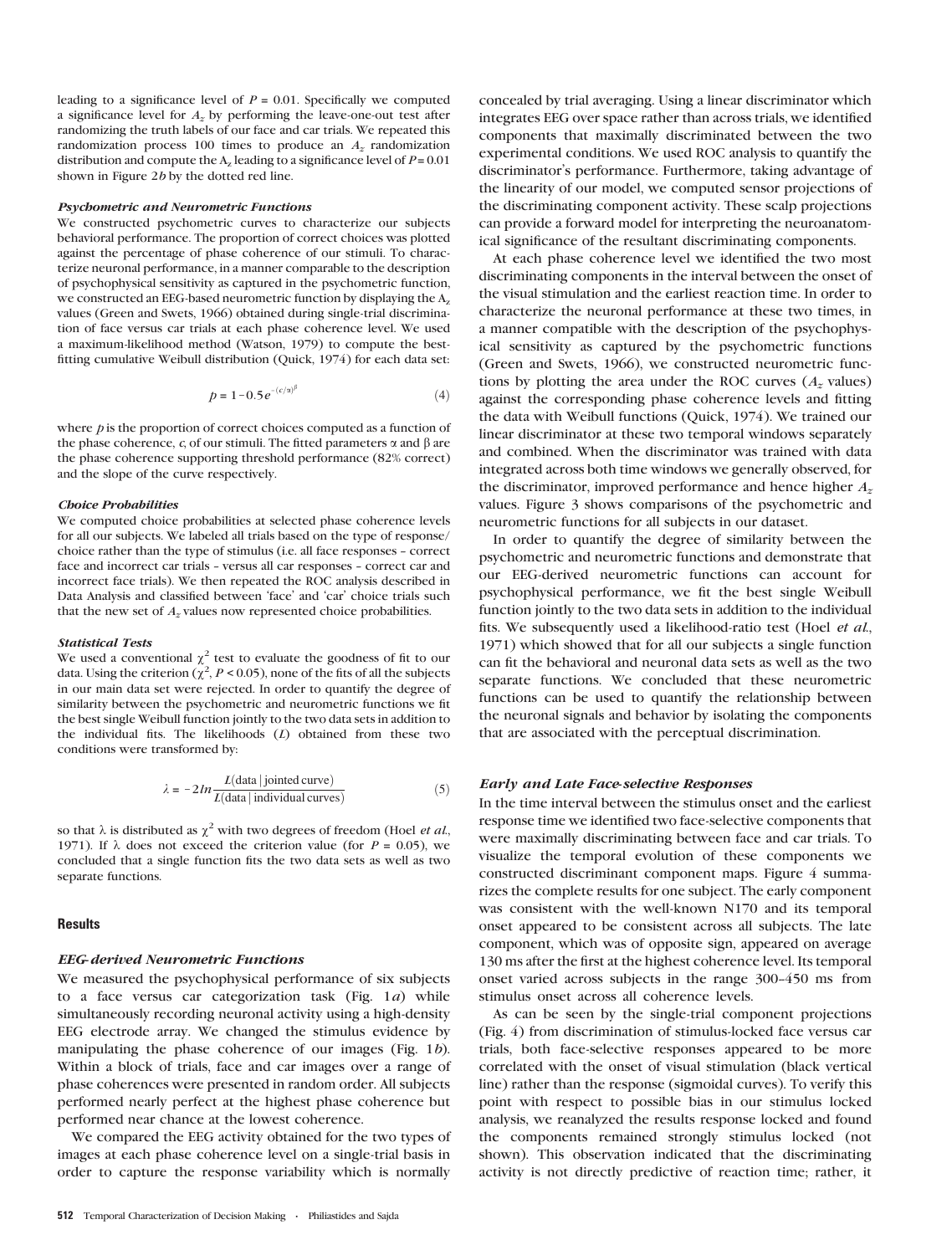leading to a significance level of  $P = 0.01$ . Specifically we computed a significance level for  $A<sub>z</sub>$  by performing the leave-one-out test after randomizing the truth labels of our face and car trials. We repeated this randomization process 100 times to produce an  $A_z$  randomization distribution and compute the  $A_z$  leading to a significance level of  $P = 0.01$ shown in Figure 2b by the dotted red line.

### Psychometric and Neurometric Functions

We constructed psychometric curves to characterize our subjects behavioral performance. The proportion of correct choices was plotted against the percentage of phase coherence of our stimuli. To characterize neuronal performance, in a manner comparable to the description of psychophysical sensitivity as captured in the psychometric function, we constructed an EEG-based neurometric function by displaying the A<sub>z</sub> values (Green and Swets, 1966) obtained during single-trial discrimination of face versus car trials at each phase coherence level. We used a maximum-likelihood method (Watson, 1979) to compute the bestfitting cumulative Weibull distribution (Quick, 1974) for each data set:

$$
p = 1 - 0.5 e^{-(c/\alpha)^{\beta}}
$$
 (4)

where  $p$  is the proportion of correct choices computed as a function of the phase coherence, c, of our stimuli. The fitted parameters  $\alpha$  and  $\beta$  are the phase coherence supporting threshold performance (82% correct) and the slope of the curve respectively.

#### Choice Probabilities

We computed choice probabilities at selected phase coherence levels for all our subjects. We labeled all trials based on the type of response/ choice rather than the type of stimulus (i.e. all face responses - correct face and incorrect car trials - versus all car responses - correct car and incorrect face trials). We then repeated the ROC analysis described in Data Analysis and classified between 'face' and 'car' choice trials such that the new set of  $A_z$  values now represented choice probabilities.

#### Statistical Tests

We used a conventional  $\chi^2$  test to evaluate the goodness of fit to our data. Using the criterion ( $\chi^2$ ,  $P$  < 0.05), none of the fits of all the subjects in our main data set were rejected. In order to quantify the degree of similarity between the psychometric and neurometric functions we fit the best single Weibull function jointly to the two data sets in addition to the individual fits. The likelihoods (L) obtained from these two conditions were transformed by:

$$
\lambda = -2\ln \frac{L(\text{data} \mid \text{jointed curve})}{L(\text{data} \mid \text{individual curves})}
$$
(5)

so that  $\lambda$  is distributed as  $\chi^2$  with two degrees of freedom (Hoel *et al.*, 1971). If  $\lambda$  does not exceed the criterion value (for  $P = 0.05$ ), we concluded that a single function fits the two data sets as well as two separate functions.

## **Results**

## EEG-derived Neurometric Functions

We measured the psychophysical performance of six subjects to a face versus car categorization task (Fig. 1a) while simultaneously recording neuronal activity using a high-density EEG electrode array. We changed the stimulus evidence by manipulating the phase coherence of our images (Fig. 1b). Within a block of trials, face and car images over a range of phase coherences were presented in random order. All subjects performed nearly perfect at the highest phase coherence but performed near chance at the lowest coherence.

We compared the EEG activity obtained for the two types of images at each phase coherence level on a single-trial basis in order to capture the response variability which is normally

concealed by trial averaging. Using a linear discriminator which integrates EEG over space rather than across trials, we identified components that maximally discriminated between the two experimental conditions. We used ROC analysis to quantify the discriminator's performance. Furthermore, taking advantage of the linearity of our model, we computed sensor projections of the discriminating component activity. These scalp projections can provide a forward model for interpreting the neuroanatomical significance of the resultant discriminating components.

At each phase coherence level we identified the two most discriminating components in the interval between the onset of the visual stimulation and the earliest reaction time. In order to characterize the neuronal performance at these two times, in a manner compatible with the description of the psychophysical sensitivity as captured by the psychometric functions (Green and Swets, 1966), we constructed neurometric functions by plotting the area under the ROC curves  $(A_z \text{ values})$ against the corresponding phase coherence levels and fitting the data with Weibull functions (Quick, 1974). We trained our linear discriminator at these two temporal windows separately and combined. When the discriminator was trained with data integrated across both time windows we generally observed, for the discriminator, improved performance and hence higher  $A<sub>z</sub>$ values. Figure 3 shows comparisons of the psychometric and neurometric functions for all subjects in our dataset.

In order to quantify the degree of similarity between the psychometric and neurometric functions and demonstrate that our EEG-derived neurometric functions can account for psychophysical performance, we fit the best single Weibull function jointly to the two data sets in addition to the individual fits. We subsequently used a likelihood-ratio test (Hoel et al., 1971) which showed that for all our subjects a single function can fit the behavioral and neuronal data sets as well as the two separate functions. We concluded that these neurometric functions can be used to quantify the relationship between the neuronal signals and behavior by isolating the components that are associated with the perceptual discrimination.

## Early and Late Face-selective Responses

In the time interval between the stimulus onset and the earliest response time we identified two face-selective components that were maximally discriminating between face and car trials. To visualize the temporal evolution of these components we constructed discriminant component maps. Figure 4 summarizes the complete results for one subject. The early component was consistent with the well-known N170 and its temporal onset appeared to be consistent across all subjects. The late component, which was of opposite sign, appeared on average 130 ms after the first at the highest coherence level. Its temporal onset varied across subjects in the range 300-450 ms from stimulus onset across all coherence levels.

As can be seen by the single-trial component projections (Fig. 4) from discrimination of stimulus-locked face versus car trials, both face-selective responses appeared to be more correlated with the onset of visual stimulation (black vertical line) rather than the response (sigmoidal curves). To verify this point with respect to possible bias in our stimulus locked analysis, we reanalyzed the results response locked and found the components remained strongly stimulus locked (not shown). This observation indicated that the discriminating activity is not directly predictive of reaction time; rather, it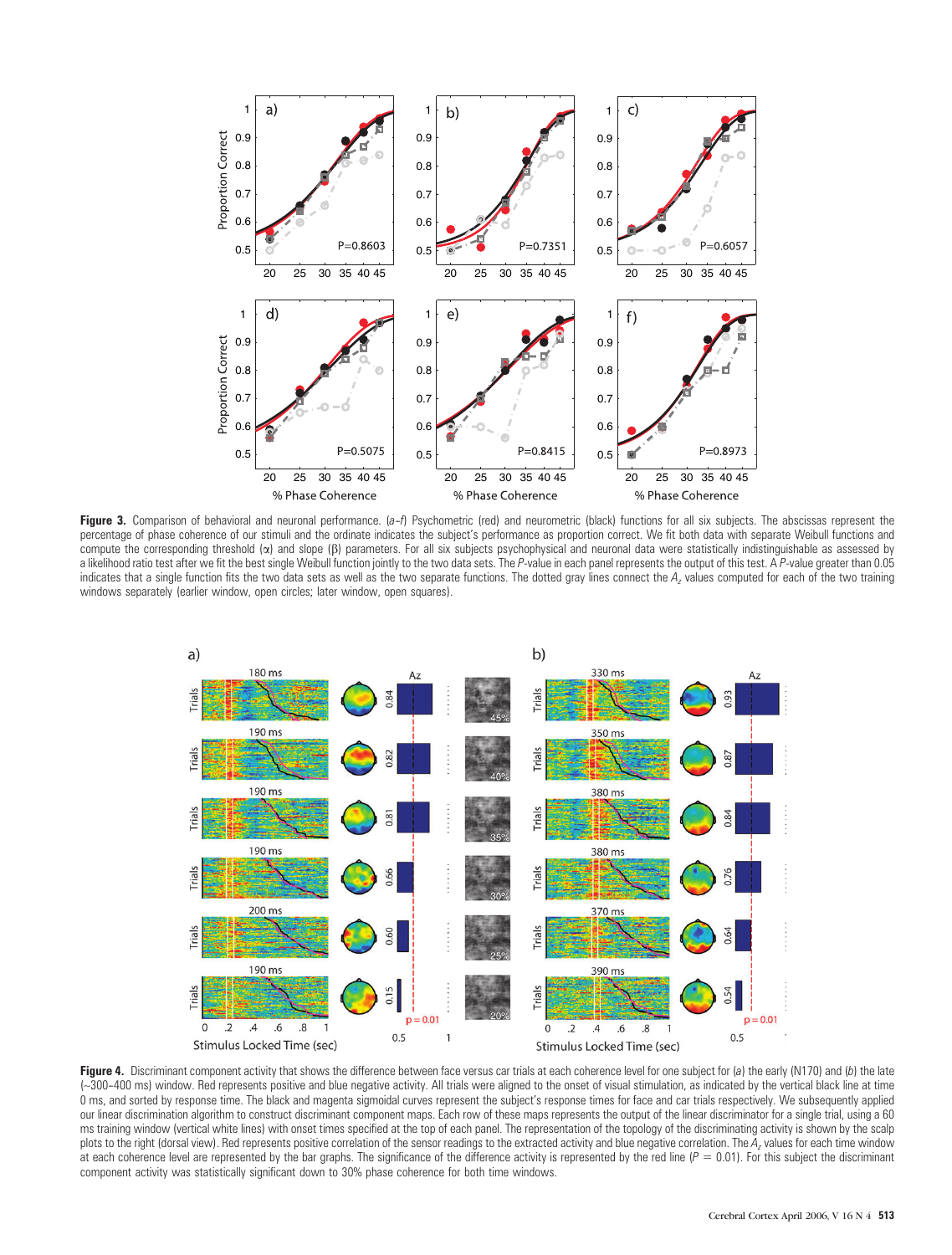![](_page_4_Figure_0.jpeg)

Figure 3. Comparison of behavioral and neuronal performance. (a-f) Psychometric (red) and neurometric (black) functions for all six subjects. The abscissas represent the percentage of phase coherence of our stimuli and the ordinate indicates the subject's performance as proportion correct. We fit both data with separate Weibull functions and compute the corresponding threshold (a) and slope (b) parameters. For all six subjects psychophysical and neuronal data were statistically indistinguishable as assessed by a likelihood ratio test after we fit the best single Weibull function jointly to the two data sets. The P-value in each panel represents the output of this test. A P-value greater than 0.05 indicates that a single function fits the two data sets as well as the two separate functions. The dotted gray lines connect the A<sub>z</sub> values computed for each of the two training windows separately (earlier window, open circles; later window, open squares).

![](_page_4_Figure_2.jpeg)

Figure 4. Discriminant component activity that shows the difference between face versus car trials at each coherence level for one subject for (a) the early (N170) and (b) the late (~300--400 ms) window. Red represents positive and blue negative activity. All trials were aligned to the onset of visual stimulation, as indicated by the vertical black line at time 0 ms, and sorted by response time. The black and magenta sigmoidal curves represent the subject's response times for face and car trials respectively. We subsequently applied our linear discrimination algorithm to construct discriminant component maps. Each row of these maps represents the output of the linear discriminator for a single trial, using a 60 ms training window (vertical white lines) with onset times specified at the top of each panel. The representation of the topology of the discriminating activity is shown by the scalp plots to the right (dorsal view). Red represents positive correlation of the sensor readings to the extracted activity and blue negative correlation. The A<sub>z</sub> values for each time window at each coherence level are represented by the bar graphs. The significance of the difference activity is represented by the red line  $(P = 0.01)$ . For this subject the discriminant component activity was statistically significant down to 30% phase coherence for both time windows.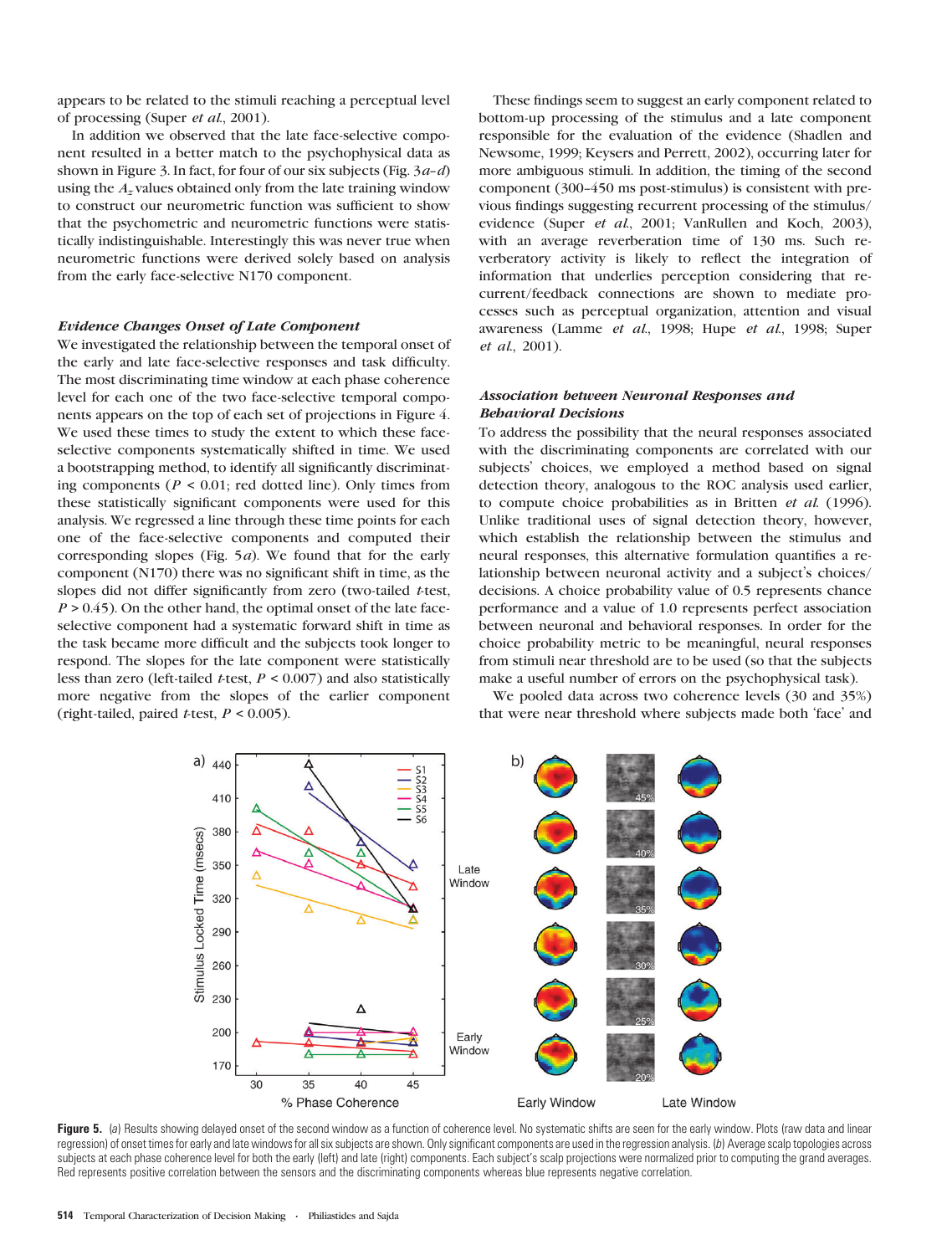appears to be related to the stimuli reaching a perceptual level of processing (Super et al., 2001).

In addition we observed that the late face-selective component resulted in a better match to the psychophysical data as shown in Figure 3. In fact, for four of our six subjects (Fig.  $3a-d$ ) using the  $A_z$  values obtained only from the late training window to construct our neurometric function was sufficient to show that the psychometric and neurometric functions were statistically indistinguishable. Interestingly this was never true when neurometric functions were derived solely based on analysis from the early face-selective N170 component.

## Evidence Changes Onset of Late Component

We investigated the relationship between the temporal onset of the early and late face-selective responses and task difficulty. The most discriminating time window at each phase coherence level for each one of the two face-selective temporal components appears on the top of each set of projections in Figure 4. We used these times to study the extent to which these faceselective components systematically shifted in time. We used a bootstrapping method, to identify all significantly discriminating components ( $P \le 0.01$ ; red dotted line). Only times from these statistically significant components were used for this analysis. We regressed a line through these time points for each one of the face-selective components and computed their corresponding slopes (Fig.  $5a$ ). We found that for the early component (N170) there was no significant shift in time, as the slopes did not differ significantly from zero (two-tailed t-test,  $P > 0.45$ ). On the other hand, the optimal onset of the late faceselective component had a systematic forward shift in time as the task became more difficult and the subjects took longer to respond. The slopes for the late component were statistically less than zero (left-tailed *t*-test,  $P < 0.007$ ) and also statistically more negative from the slopes of the earlier component (right-tailed, paired *t*-test,  $P < 0.005$ ).

These findings seem to suggest an early component related to bottom-up processing of the stimulus and a late component responsible for the evaluation of the evidence (Shadlen and Newsome, 1999; Keysers and Perrett, 2002), occurring later for more ambiguous stimuli. In addition, the timing of the second component  $(300-450 \text{ ms post-stimulus})$  is consistent with previous findings suggesting recurrent processing of the stimulus/ evidence (Super et al., 2001; VanRullen and Koch, 2003), with an average reverberation time of 130 ms. Such reverberatory activity is likely to reflect the integration of information that underlies perception considering that recurrent/feedback connections are shown to mediate processes such as perceptual organization, attention and visual awareness (Lamme et al., 1998; Hupe et al., 1998; Super et al., 2001).

# Association between Neuronal Responses and Behavioral Decisions

To address the possibility that the neural responses associated with the discriminating components are correlated with our subjects' choices, we employed a method based on signal detection theory, analogous to the ROC analysis used earlier, to compute choice probabilities as in Britten et al. (1996). Unlike traditional uses of signal detection theory, however, which establish the relationship between the stimulus and neural responses, this alternative formulation quantifies a relationship between neuronal activity and a subject's choices/ decisions. A choice probability value of 0.5 represents chance performance and a value of 1.0 represents perfect association between neuronal and behavioral responses. In order for the choice probability metric to be meaningful, neural responses from stimuli near threshold are to be used (so that the subjects make a useful number of errors on the psychophysical task).

We pooled data across two coherence levels (30 and 35%) that were near threshold where subjects made both 'face' and

![](_page_5_Figure_8.jpeg)

Figure 5. (a) Results showing delayed onset of the second window as a function of coherence level. No systematic shifts are seen for the early window. Plots (raw data and linear regression) of onset times for early and late windows for all six subjects are shown. Only significant components are used in the regression analysis. (b) Average scalp topologies across subjects at each phase coherence level for both the early (left) and late (right) components. Each subject's scalp projections were normalized prior to computing the grand averages. Red represents positive correlation between the sensors and the discriminating components whereas blue represents negative correlation.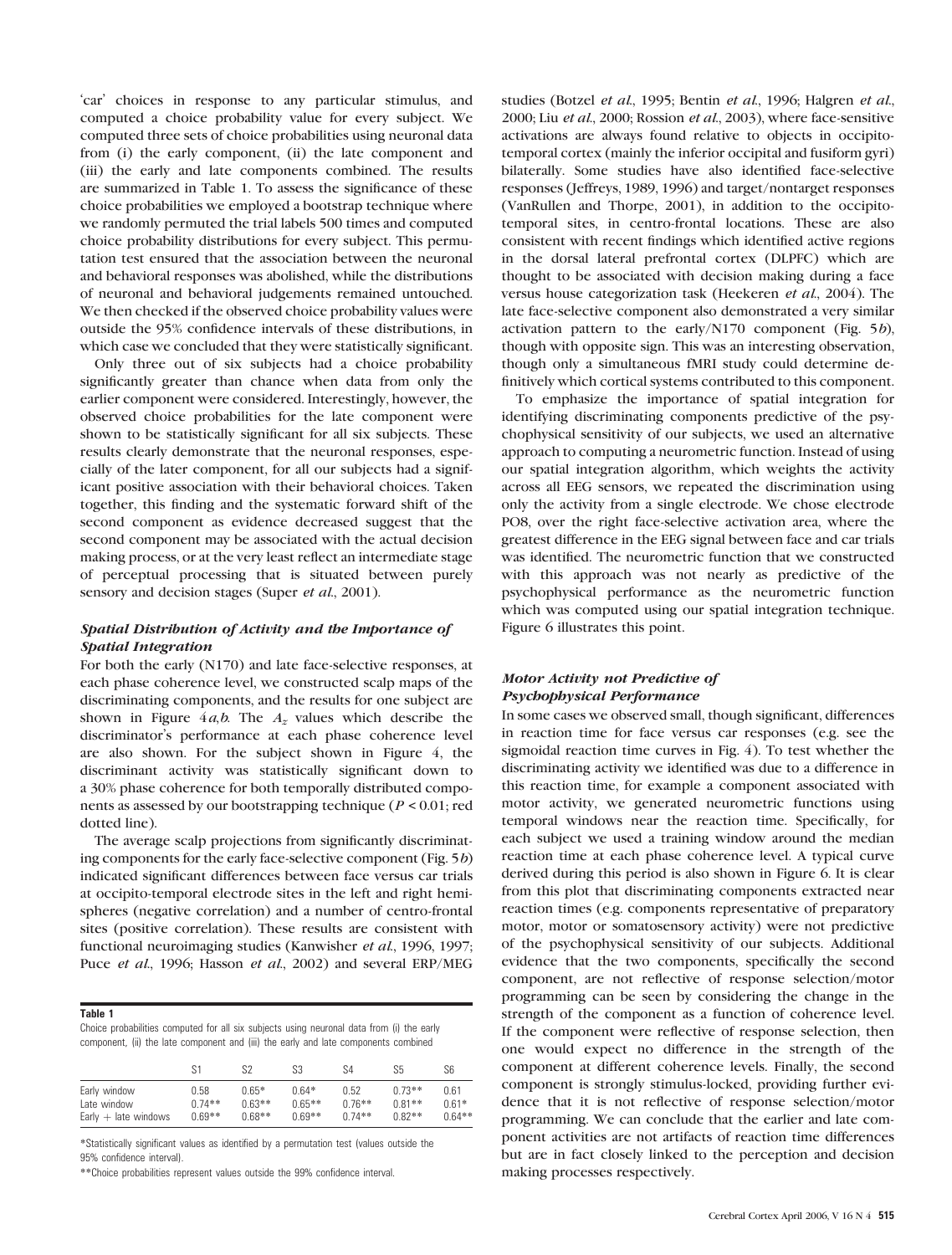'car' choices in response to any particular stimulus, and computed a choice probability value for every subject. We computed three sets of choice probabilities using neuronal data from (i) the early component, (ii) the late component and (iii) the early and late components combined. The results are summarized in Table 1. To assess the significance of these choice probabilities we employed a bootstrap technique where we randomly permuted the trial labels 500 times and computed choice probability distributions for every subject. This permutation test ensured that the association between the neuronal and behavioral responses was abolished, while the distributions of neuronal and behavioral judgements remained untouched. We then checked if the observed choice probability values were outside the 95% confidence intervals of these distributions, in which case we concluded that they were statistically significant.

Only three out of six subjects had a choice probability significantly greater than chance when data from only the earlier component were considered. Interestingly, however, the observed choice probabilities for the late component were shown to be statistically significant for all six subjects. These results clearly demonstrate that the neuronal responses, especially of the later component, for all our subjects had a significant positive association with their behavioral choices. Taken together, this finding and the systematic forward shift of the second component as evidence decreased suggest that the second component may be associated with the actual decision making process, or at the very least reflect an intermediate stage of perceptual processing that is situated between purely sensory and decision stages (Super et al., 2001).

# Spatial Distribution of Activity and the Importance of Spatial Integration

For both the early (N170) and late face-selective responses, at each phase coherence level, we constructed scalp maps of the discriminating components, and the results for one subject are shown in Figure  $4a,b$ . The  $A_z$  values which describe the discriminator's performance at each phase coherence level are also shown. For the subject shown in Figure 4, the discriminant activity was statistically significant down to a 30% phase coherence for both temporally distributed components as assessed by our bootstrapping technique (P < 0.01; red dotted line).

The average scalp projections from significantly discriminating components for the early face-selective component (Fig. 5b) indicated significant differences between face versus car trials at occipito-temporal electrode sites in the left and right hemispheres (negative correlation) and a number of centro-frontal sites (positive correlation). These results are consistent with functional neuroimaging studies (Kanwisher et al., 1996, 1997; Puce et al., 1996; Hasson et al., 2002) and several ERP/MEG

Table 1

Choice probabilities computed for all six subjects using neuronal data from (i) the early component, (ii) the late component and (iii) the early and late components combined

|                        | S1       | S2       | S3       | S4       | S5       | S6       |
|------------------------|----------|----------|----------|----------|----------|----------|
| Early window           | 0.58     | $0.65*$  | $0.64*$  | 0.52     | $0.73**$ | 0.61     |
| Late window            | $0.74**$ | $0.63**$ | $0.65**$ | $0.76**$ | $0.81**$ | $0.61*$  |
| Early $+$ late windows | $0.69**$ | $0.68**$ | $0.69**$ | $0.74**$ | $0.82**$ | $0.64**$ |

\*Statistically significant values as identified by a permutation test (values outside the 95% confidence interval).

\*\*Choice probabilities represent values outside the 99% confidence interval.

studies (Botzel et al., 1995; Bentin et al., 1996; Halgren et al., 2000; Liu et al., 2000; Rossion et al., 2003), where face-sensitive activations are always found relative to objects in occipitotemporal cortex (mainly the inferior occipital and fusiform gyri) bilaterally. Some studies have also identified face-selective responses (Jeffreys, 1989, 1996) and target/nontarget responses (VanRullen and Thorpe, 2001), in addition to the occipitotemporal sites, in centro-frontal locations. These are also consistent with recent findings which identified active regions in the dorsal lateral prefrontal cortex (DLPFC) which are thought to be associated with decision making during a face versus house categorization task (Heekeren et al., 2004). The late face-selective component also demonstrated a very similar activation pattern to the early/N170 component (Fig. 5b), though with opposite sign. This was an interesting observation, though only a simultaneous fMRI study could determine definitively which cortical systems contributed to this component.

To emphasize the importance of spatial integration for identifying discriminating components predictive of the psychophysical sensitivity of our subjects, we used an alternative approach to computing a neurometric function. Instead of using our spatial integration algorithm, which weights the activity across all EEG sensors, we repeated the discrimination using only the activity from a single electrode. We chose electrode PO8, over the right face-selective activation area, where the greatest difference in the EEG signal between face and car trials was identified. The neurometric function that we constructed with this approach was not nearly as predictive of the psychophysical performance as the neurometric function which was computed using our spatial integration technique. Figure 6 illustrates this point.

# Motor Activity not Predictive of Psychophysical Performance

In some cases we observed small, though significant, differences in reaction time for face versus car responses (e.g. see the sigmoidal reaction time curves in Fig. 4). To test whether the discriminating activity we identified was due to a difference in this reaction time, for example a component associated with motor activity, we generated neurometric functions using temporal windows near the reaction time. Specifically, for each subject we used a training window around the median reaction time at each phase coherence level. A typical curve derived during this period is also shown in Figure 6. It is clear from this plot that discriminating components extracted near reaction times (e.g. components representative of preparatory motor, motor or somatosensory activity) were not predictive of the psychophysical sensitivity of our subjects. Additional evidence that the two components, specifically the second component, are not reflective of response selection/motor programming can be seen by considering the change in the strength of the component as a function of coherence level. If the component were reflective of response selection, then one would expect no difference in the strength of the component at different coherence levels. Finally, the second component is strongly stimulus-locked, providing further evidence that it is not reflective of response selection/motor programming. We can conclude that the earlier and late component activities are not artifacts of reaction time differences but are in fact closely linked to the perception and decision making processes respectively.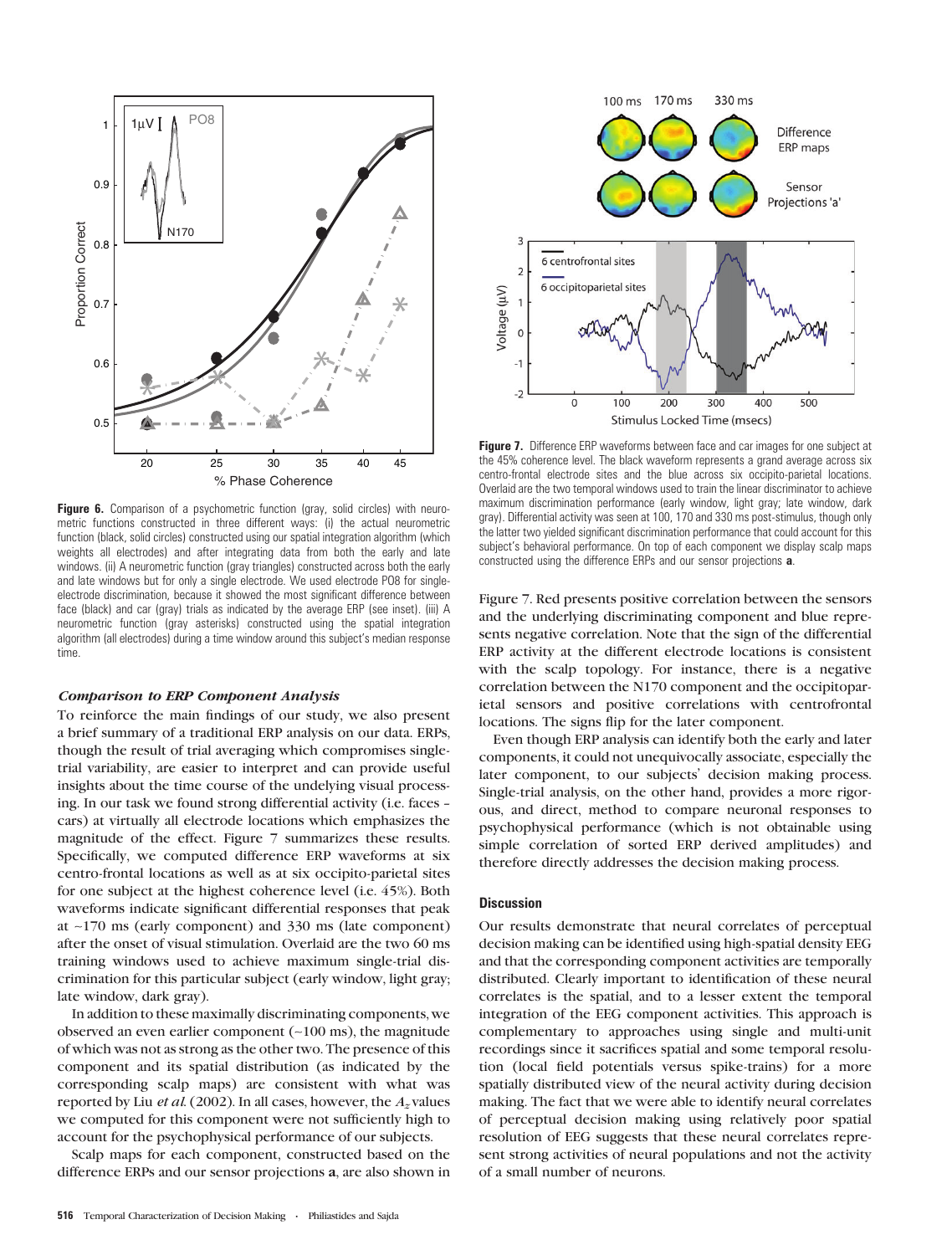![](_page_7_Figure_0.jpeg)

Figure 6. Comparison of a psychometric function (gray, solid circles) with neurometric functions constructed in three different ways: (i) the actual neurometric function (black, solid circles) constructed using our spatial integration algorithm (which weights all electrodes) and after integrating data from both the early and late windows. (ii) A neurometric function (gray triangles) constructed across both the early and late windows but for only a single electrode. We used electrode PO8 for singleelectrode discrimination, because it showed the most significant difference between face (black) and car (gray) trials as indicated by the average ERP (see inset). (iii) A neurometric function (gray asterisks) constructed using the spatial integration algorithm (all electrodes) during a time window around this subject's median response time.

## Comparison to ERP Component Analysis

To reinforce the main findings of our study, we also present a brief summary of a traditional ERP analysis on our data. ERPs, though the result of trial averaging which compromises singletrial variability, are easier to interpret and can provide useful insights about the time course of the undelying visual processing. In our task we found strong differential activity (i.e. faces - cars) at virtually all electrode locations which emphasizes the magnitude of the effect. Figure 7 summarizes these results. Specifically, we computed difference ERP waveforms at six centro-frontal locations as well as at six occipito-parietal sites for one subject at the highest coherence level (i.e. 45%). Both waveforms indicate significant differential responses that peak at ~170 ms (early component) and 330 ms (late component) after the onset of visual stimulation. Overlaid are the two 60 ms training windows used to achieve maximum single-trial discrimination for this particular subject (early window, light gray; late window, dark gray).

In addition to these maximally discriminating components, we observed an even earlier component (~100 ms), the magnitude of which was not as strong as the other two. The presence of this component and its spatial distribution (as indicated by the corresponding scalp maps) are consistent with what was reported by Liu et al. (2002). In all cases, however, the  $A_z$  values we computed for this component were not sufficiently high to account for the psychophysical performance of our subjects.

Scalp maps for each component, constructed based on the difference ERPs and our sensor projections a, are also shown in

![](_page_7_Figure_7.jpeg)

Fiaure 7. Difference ERP waveforms between face and car images for one subject at the 45% coherence level. The black waveform represents a grand average across six centro-frontal electrode sites and the blue across six occipito-parietal locations. Overlaid are the two temporal windows used to train the linear discriminator to achieve maximum discrimination performance (early window, light gray; late window, dark gray). Differential activity was seen at 100, 170 and 330 ms post-stimulus, though only the latter two yielded significant discrimination performance that could account for this subject's behavioral performance. On top of each component we display scalp maps constructed using the difference ERPs and our sensor projections a.

Figure 7. Red presents positive correlation between the sensors and the underlying discriminating component and blue represents negative correlation. Note that the sign of the differential ERP activity at the different electrode locations is consistent with the scalp topology. For instance, there is a negative correlation between the N170 component and the occipitoparietal sensors and positive correlations with centrofrontal locations. The signs flip for the later component.

Even though ERP analysis can identify both the early and later components, it could not unequivocally associate, especially the later component, to our subjects' decision making process. Single-trial analysis, on the other hand, provides a more rigorous, and direct, method to compare neuronal responses to psychophysical performance (which is not obtainable using simple correlation of sorted ERP derived amplitudes) and therefore directly addresses the decision making process.

## **Discussion**

Our results demonstrate that neural correlates of perceptual decision making can be identified using high-spatial density EEG and that the corresponding component activities are temporally distributed. Clearly important to identification of these neural correlates is the spatial, and to a lesser extent the temporal integration of the EEG component activities. This approach is complementary to approaches using single and multi-unit recordings since it sacrifices spatial and some temporal resolution (local field potentials versus spike-trains) for a more spatially distributed view of the neural activity during decision making. The fact that we were able to identify neural correlates of perceptual decision making using relatively poor spatial resolution of EEG suggests that these neural correlates represent strong activities of neural populations and not the activity of a small number of neurons.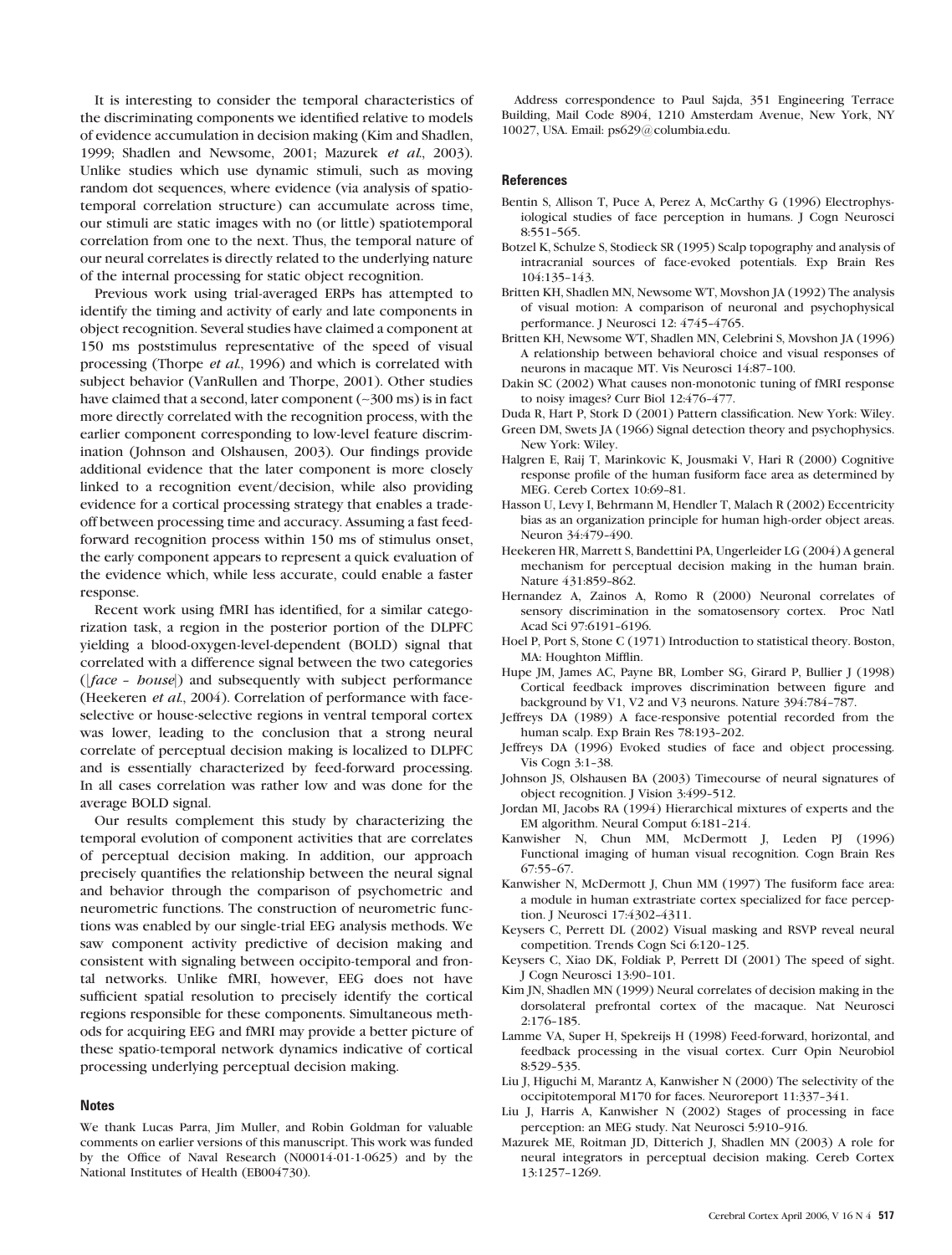It is interesting to consider the temporal characteristics of the discriminating components we identified relative to models of evidence accumulation in decision making (Kim and Shadlen, 1999; Shadlen and Newsome, 2001; Mazurek et al., 2003). Unlike studies which use dynamic stimuli, such as moving random dot sequences, where evidence (via analysis of spatiotemporal correlation structure) can accumulate across time, our stimuli are static images with no (or little) spatiotemporal correlation from one to the next. Thus, the temporal nature of our neural correlates is directly related to the underlying nature of the internal processing for static object recognition.

Previous work using trial-averaged ERPs has attempted to identify the timing and activity of early and late components in object recognition. Several studies have claimed a component at 150 ms poststimulus representative of the speed of visual processing (Thorpe *et al.*, 1996) and which is correlated with subject behavior (VanRullen and Thorpe, 2001). Other studies have claimed that a second, later component (~300 ms) is in fact more directly correlated with the recognition process, with the earlier component corresponding to low-level feature discrimination (Johnson and Olshausen, 2003). Our findings provide additional evidence that the later component is more closely linked to a recognition event/decision, while also providing evidence for a cortical processing strategy that enables a tradeoff between processing time and accuracy. Assuming a fast feedforward recognition process within 150 ms of stimulus onset, the early component appears to represent a quick evaluation of the evidence which, while less accurate, could enable a faster response.

Recent work using fMRI has identified, for a similar categorization task, a region in the posterior portion of the DLPFC yielding a blood-oxygen-level-dependent (BOLD) signal that correlated with a difference signal between the two categories  $(face - house)$  and subsequently with subject performance (Heekeren et al., 2004). Correlation of performance with faceselective or house-selective regions in ventral temporal cortex was lower, leading to the conclusion that a strong neural correlate of perceptual decision making is localized to DLPFC and is essentially characterized by feed-forward processing. In all cases correlation was rather low and was done for the average BOLD signal.

Our results complement this study by characterizing the temporal evolution of component activities that are correlates of perceptual decision making. In addition, our approach precisely quantifies the relationship between the neural signal and behavior through the comparison of psychometric and neurometric functions. The construction of neurometric functions was enabled by our single-trial EEG analysis methods. We saw component activity predictive of decision making and consistent with signaling between occipito-temporal and frontal networks. Unlike fMRI, however, EEG does not have sufficient spatial resolution to precisely identify the cortical regions responsible for these components. Simultaneous methods for acquiring EEG and fMRI may provide a better picture of these spatio-temporal network dynamics indicative of cortical processing underlying perceptual decision making.

## **Notes**

We thank Lucas Parra, Jim Muller, and Robin Goldman for valuable comments on earlier versions of this manuscript. This work was funded by the Office of Naval Research (N00014-01-1-0625) and by the National Institutes of Health (EB004730).

Address correspondence to Paul Sajda, 351 Engineering Terrace Building, Mail Code 8904, 1210 Amsterdam Avenue, New York, NY 10027, USA. Email: ps629@columbia.edu.

## **References**

- Bentin S, Allison T, Puce A, Perez A, McCarthy G (1996) Electrophysiological studies of face perception in humans. J Cogn Neurosci 8:551-565.
- Botzel K, Schulze S, Stodieck SR (1995) Scalp topography and analysis of intracranial sources of face-evoked potentials. Exp Brain Res 104:135--143.
- Britten KH, Shadlen MN, Newsome WT, Movshon JA (1992) The analysis of visual motion: A comparison of neuronal and psychophysical performance. J Neurosci 12: 4745-4765.
- Britten KH, Newsome WT, Shadlen MN, Celebrini S, Movshon JA (1996) A relationship between behavioral choice and visual responses of neurons in macaque MT. Vis Neurosci 14:87-100.
- Dakin SC (2002) What causes non-monotonic tuning of fMRI response to noisy images? Curr Biol 12:476-477.
- Duda R, Hart P, Stork D (2001) Pattern classification. New York: Wiley. Green DM, Swets JA (1966) Signal detection theory and psychophysics.
- New York: Wiley.
- Halgren E, Raij T, Marinkovic K, Jousmaki V, Hari R (2000) Cognitive response profile of the human fusiform face area as determined by MEG. Cereb Cortex 10:69-81.
- Hasson U, Levy I, Behrmann M, Hendler T, Malach R (2002) Eccentricity bias as an organization principle for human high-order object areas. Neuron 34:479-490.
- Heekeren HR, Marrett S, Bandettini PA, Ungerleider LG (2004) A general mechanism for perceptual decision making in the human brain. Nature 431:859-862.
- Hernandez A, Zainos A, Romo R (2000) Neuronal correlates of sensory discrimination in the somatosensory cortex. Proc Natl Acad Sci 97:6191-6196.
- Hoel P, Port S, Stone C (1971) Introduction to statistical theory. Boston, MA: Houghton Mifflin.
- Hupe JM, James AC, Payne BR, Lomber SG, Girard P, Bullier J (1998) Cortical feedback improves discrimination between figure and background by V1, V2 and V3 neurons. Nature 394:784-787.
- Jeffreys DA (1989) A face-responsive potential recorded from the human scalp. Exp Brain Res 78:193-202.
- Jeffreys DA (1996) Evoked studies of face and object processing. Vis Cogn  $3:1-38$ .
- Johnson JS, Olshausen BA (2003) Timecourse of neural signatures of object recognition. J Vision 3:499-512.
- Jordan MI, Jacobs RA (1994) Hierarchical mixtures of experts and the EM algorithm. Neural Comput 6:181-214.
- Kanwisher N, Chun MM, McDermott J, Leden PJ (1996) Functional imaging of human visual recognition. Cogn Brain Res  $67:55-67.$
- Kanwisher N, McDermott J, Chun MM (1997) The fusiform face area: a module in human extrastriate cortex specialized for face perception. J Neurosci 17:4302-4311.
- Keysers C, Perrett DL (2002) Visual masking and RSVP reveal neural competition. Trends Cogn Sci 6:120-125.
- Keysers C, Xiao DK, Foldiak P, Perrett DI (2001) The speed of sight. J Cogn Neurosci 13:90-101.
- Kim JN, Shadlen MN (1999) Neural correlates of decision making in the dorsolateral prefrontal cortex of the macaque. Nat Neurosci 2:176-185.
- Lamme VA, Super H, Spekreijs H (1998) Feed-forward, horizontal, and feedback processing in the visual cortex. Curr Opin Neurobiol 8:529-535.
- Liu J, Higuchi M, Marantz A, Kanwisher N (2000) The selectivity of the occipitotemporal M170 for faces. Neuroreport 11:337-341.
- Liu J, Harris A, Kanwisher N (2002) Stages of processing in face perception: an MEG study. Nat Neurosci 5:910-916.
- Mazurek ME, Roitman JD, Ditterich J, Shadlen MN (2003) A role for neural integrators in perceptual decision making. Cereb Cortex 13:1257--1269.